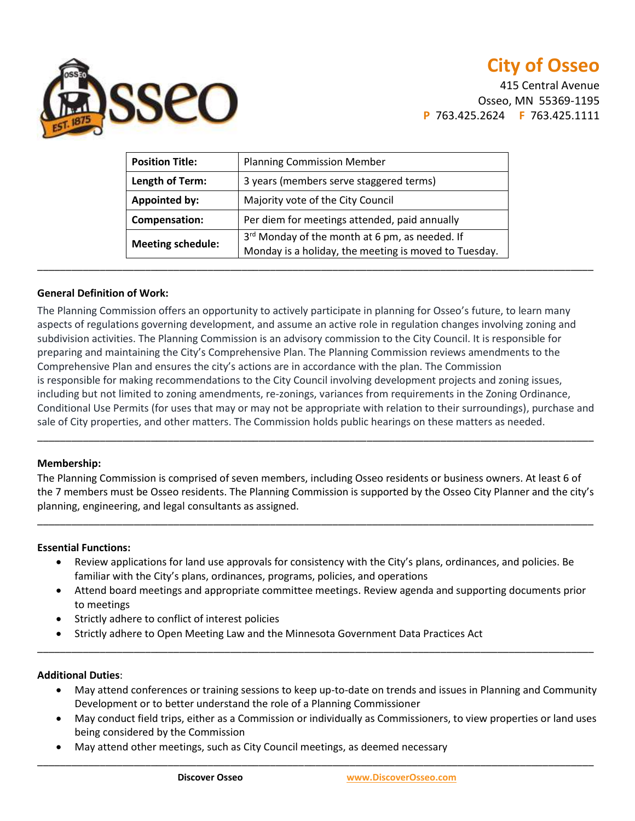

415 Central Avenue Osseo, MN 55369-1195 **P** 763.425.2624 **F** 763.425.1111

| <b>Position Title:</b>   | <b>Planning Commission Member</b>                                                                       |
|--------------------------|---------------------------------------------------------------------------------------------------------|
| Length of Term:          | 3 years (members serve staggered terms)                                                                 |
| <b>Appointed by:</b>     | Majority vote of the City Council                                                                       |
| Compensation:            | Per diem for meetings attended, paid annually                                                           |
| <b>Meeting schedule:</b> | 3rd Monday of the month at 6 pm, as needed. If<br>Monday is a holiday, the meeting is moved to Tuesday. |

### **General Definition of Work:**

The Planning Commission offers an opportunity to actively participate in planning for Osseo's future, to learn many aspects of regulations governing development, and assume an active role in regulation changes involving zoning and subdivision activities. The Planning Commission is an advisory commission to the City Council. It is responsible for preparing and maintaining the City's Comprehensive Plan. The Planning Commission reviews amendments to the Comprehensive Plan and ensures the city's actions are in accordance with the plan. The Commission is responsible for making recommendations to the City Council involving development projects and zoning issues, including but not limited to zoning amendments, re-zonings, variances from requirements in the Zoning Ordinance, Conditional Use Permits (for uses that may or may not be appropriate with relation to their surroundings), purchase and sale of City properties, and other matters. The Commission holds public hearings on these matters as needed.

### **Membership:**

The Planning Commission is comprised of seven members, including Osseo residents or business owners. At least 6 of the 7 members must be Osseo residents. The Planning Commission is supported by the Osseo City Planner and the city's planning, engineering, and legal consultants as assigned.

\_\_\_\_\_\_\_\_\_\_\_\_\_\_\_\_\_\_\_\_\_\_\_\_\_\_\_\_\_\_\_\_\_\_\_\_\_\_\_\_\_\_\_\_\_\_\_\_\_\_\_\_\_\_\_\_\_\_\_\_\_\_\_\_\_\_\_\_\_\_\_\_\_\_\_\_\_\_\_\_\_\_\_\_\_\_\_\_\_\_\_\_\_\_\_\_\_\_

\_\_\_\_\_\_\_\_\_\_\_\_\_\_\_\_\_\_\_\_\_\_\_\_\_\_\_\_\_\_\_\_\_\_\_\_\_\_\_\_\_\_\_\_\_\_\_\_\_\_\_\_\_\_\_\_\_\_\_\_\_\_\_\_\_\_\_\_\_\_\_\_\_\_\_\_\_\_\_\_\_\_\_\_\_\_\_\_\_\_\_\_\_\_\_\_\_\_

### **Essential Functions:**

- Review applications for land use approvals for consistency with the City's plans, ordinances, and policies. Be familiar with the City's plans, ordinances, programs, policies, and operations
- Attend board meetings and appropriate committee meetings. Review agenda and supporting documents prior to meetings

\_\_\_\_\_\_\_\_\_\_\_\_\_\_\_\_\_\_\_\_\_\_\_\_\_\_\_\_\_\_\_\_\_\_\_\_\_\_\_\_\_\_\_\_\_\_\_\_\_\_\_\_\_\_\_\_\_\_\_\_\_\_\_\_\_\_\_\_\_\_\_\_\_\_\_\_\_\_\_\_\_\_\_\_\_\_\_\_\_\_\_\_\_\_\_\_\_\_

- Strictly adhere to conflict of interest policies
- Strictly adhere to Open Meeting Law and the Minnesota Government Data Practices Act

### **Additional Duties**:

- May attend conferences or training sessions to keep up-to-date on trends and issues in Planning and Community Development or to better understand the role of a Planning Commissioner
- May conduct field trips, either as a Commission or individually as Commissioners, to view properties or land uses being considered by the Commission

\_\_\_\_\_\_\_\_\_\_\_\_\_\_\_\_\_\_\_\_\_\_\_\_\_\_\_\_\_\_\_\_\_\_\_\_\_\_\_\_\_\_\_\_\_\_\_\_\_\_\_\_\_\_\_\_\_\_\_\_\_\_\_\_\_\_\_\_\_\_\_\_\_\_\_\_\_\_\_\_\_\_\_\_\_\_\_\_\_\_\_\_\_\_\_\_\_\_

May attend other meetings, such as City Council meetings, as deemed necessary